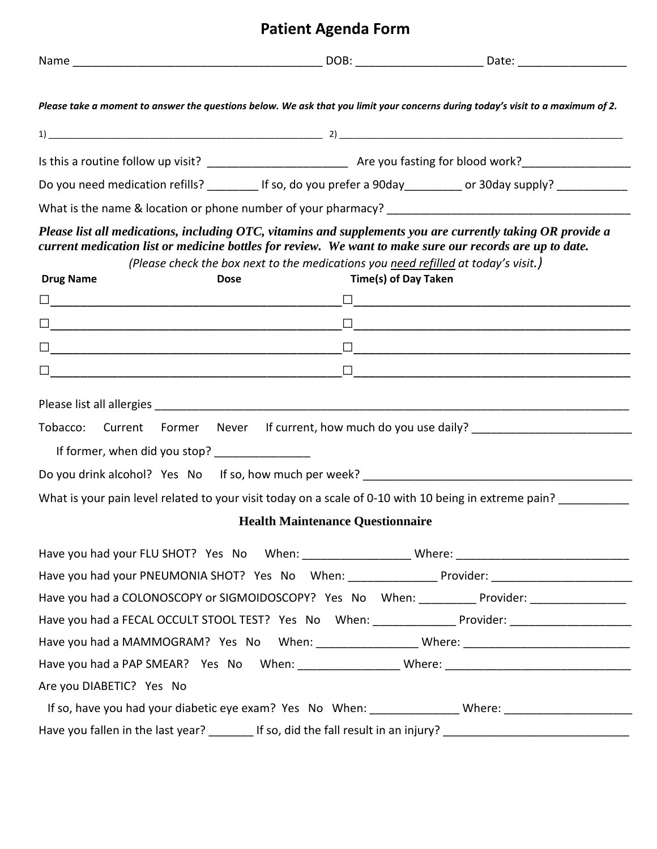## **Patient Agenda Form**

| Please take a moment to answer the questions below. We ask that you limit your concerns during today's visit to a maximum of 2.                                                                                                                           |                                                                                    |                             |  |
|-----------------------------------------------------------------------------------------------------------------------------------------------------------------------------------------------------------------------------------------------------------|------------------------------------------------------------------------------------|-----------------------------|--|
|                                                                                                                                                                                                                                                           |                                                                                    |                             |  |
|                                                                                                                                                                                                                                                           |                                                                                    |                             |  |
| Do you need medication refills? __________ If so, do you prefer a 90day _________ or 30day supply? __________                                                                                                                                             |                                                                                    |                             |  |
|                                                                                                                                                                                                                                                           |                                                                                    |                             |  |
| Please list all medications, including OTC, vitamins and supplements you are currently taking OR provide a<br>current medication list or medicine bottles for review. We want to make sure our records are up to date.<br><b>Drug Name</b><br><b>Dose</b> | (Please check the box next to the medications you need refilled at today's visit.) | <b>Time(s) of Day Taken</b> |  |
|                                                                                                                                                                                                                                                           |                                                                                    |                             |  |
|                                                                                                                                                                                                                                                           |                                                                                    |                             |  |
|                                                                                                                                                                                                                                                           |                                                                                    |                             |  |
|                                                                                                                                                                                                                                                           |                                                                                    |                             |  |
|                                                                                                                                                                                                                                                           |                                                                                    |                             |  |
| Tobacco: Current Former Never If current, how much do you use daily? _______________________________<br>If former, when did you stop? ________________                                                                                                    |                                                                                    |                             |  |
| What is your pain level related to your visit today on a scale of 0-10 with 10 being in extreme pain? _________                                                                                                                                           |                                                                                    |                             |  |
|                                                                                                                                                                                                                                                           | <b>Health Maintenance Questionnaire</b>                                            |                             |  |
|                                                                                                                                                                                                                                                           |                                                                                    |                             |  |
| Have you had your PNEUMONIA SHOT? Yes No When: __________________Provider: _________________________                                                                                                                                                      |                                                                                    |                             |  |
| Have you had a COLONOSCOPY or SIGMOIDOSCOPY? Yes No When: _________ Provider: _______________                                                                                                                                                             |                                                                                    |                             |  |
| Have you had a FECAL OCCULT STOOL TEST? Yes No When: _______________ Provider: ____________________                                                                                                                                                       |                                                                                    |                             |  |
| Have you had a MAMMOGRAM? Yes No When: _____________________Where: _________________________________                                                                                                                                                      |                                                                                    |                             |  |
|                                                                                                                                                                                                                                                           |                                                                                    |                             |  |
| Are you DIABETIC? Yes No                                                                                                                                                                                                                                  |                                                                                    |                             |  |
| If so, have you had your diabetic eye exam? Yes No When: _______________Where: _______________________________                                                                                                                                            |                                                                                    |                             |  |
| Have you fallen in the last year? ________ If so, did the fall result in an injury? ________________________________                                                                                                                                      |                                                                                    |                             |  |